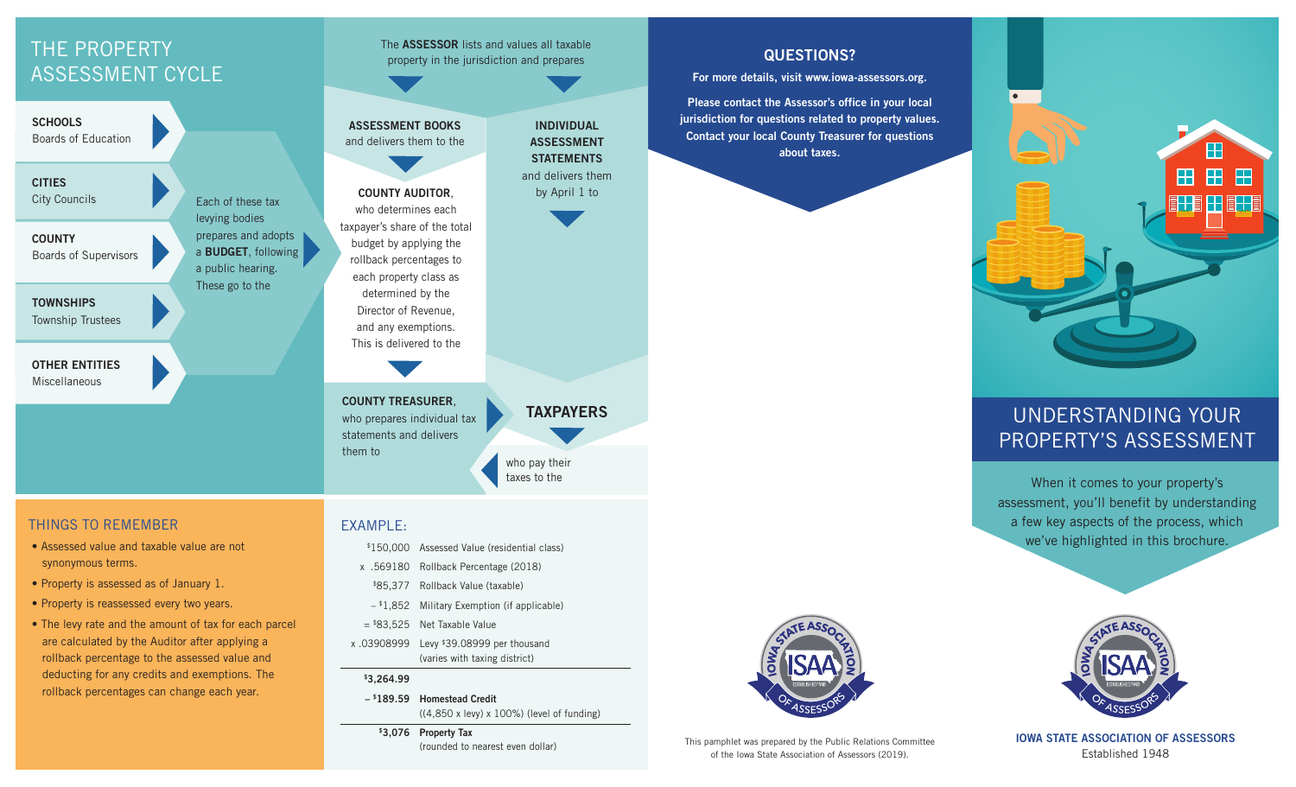# THE PROPERTY ASSESSMENT CYCLE

**SCHOOLS** Boards of Education

**CITIES** City Councils

**COUNTY** Boards of Supervisors

**TOWNSHIPS** Township Trustees

**OTHER ENTITIES** Miscellaneous

Each of these tax levying bodies prepares and adopts a **BUDGET**, following a public hearing. These go to the

taxpayer's share of the total

each property class as determined by the Director of Revenue, and any exemptions. This is delivered to the

**COUNTY AUDITOR**, who determines each

**ASSESSMENT BOOKS** and delivers them to the

The **ASSESSOR** lists and values all taxable property in the jurisdiction and prepares

budget by applying the rollback percentages to

**COUNTY TREASURER**, who prepares individual tax statements and delivers them to

## THINGS TO REMEMBER

- Assessed value and taxable value are not synonymous terms.
- Property is assessed as of January 1.
- Property is reassessed every two years.
- The levy rate and the amount of tax for each parcel are calculated by the Auditor after applying a rollback percentage to the assessed value and deducting for any credits and exemptions. The rollback percentages can change each year.

#### EXAMPLE:

- \$150,000 Assessed Value (residential class)
- x .569180 Rollback Percentage (2018)
- \$85,377 Rollback Value (taxable)
- $-$  \$1,852 Military Exemption (if applicable)
- $= $83.525$  Net Taxable Value
- x .03908999 Levy \$39.08999 per thousand (varies with taxing district)

#### **\$3,264.99**

 **– \$189.59 Homestead Credit**  ((4,850 x levy) x 100%) (level of funding)

who pay their taxes to the

**TAXPAYERS**

**INDIVIDUAL ASSESSMENT STATEMENTS** and delivers them by April 1 to

 **\$3,076 Property Tax**  (rounded to nearest even dollar) **QUESTIONS?**

**For more details, visit www.iowa-assessors.org.**

**Please contact the Assessor's office in your local jurisdiction for questions related to property values. Contact your local County Treasurer for questions about taxes.**



## UNDERSTANDING YOUR PROPERTY'S ASSESSMENT

When it comes to your property's assessment, you'll benefit by understanding a few key aspects of the process, which we've highlighted in this brochure.



This pamphlet was prepared by the Public Relations Committee of the Iowa State Association of Assessors (2019).



**IOWA STATE ASSOCIATION OF ASSESSORS** Established 1948